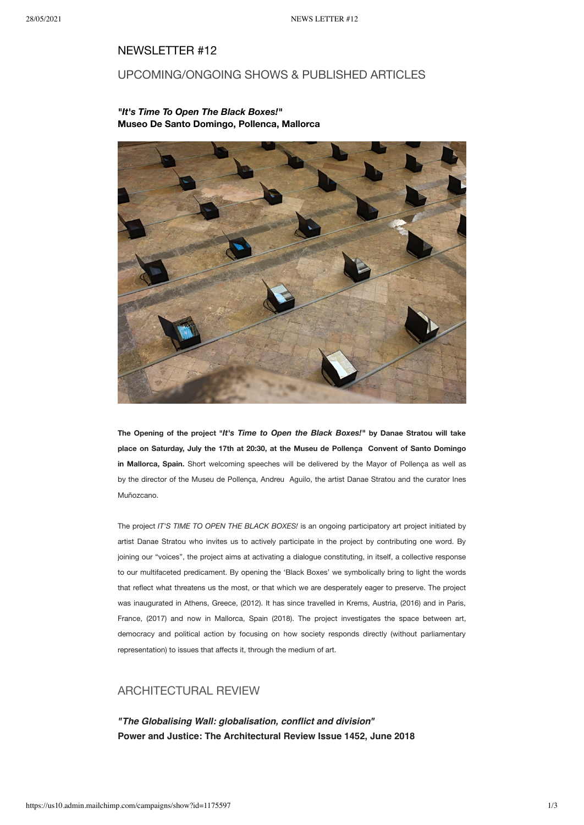### NEWSLETTER #12

# UPCOMING/ONGOING SHOWS & PUBLISHED ARTICLES

### *"It's Time To Open The Black Boxes!"* **Museo De Santo Domingo, Pollenca, Mallorca**



**The Opening of the project "***It's Time to Open the Black Boxes!"* **by Danae Stratou will take place on Saturday, July the 17th at 20:30, at the Museu de Pollença Convent of Santo Domingo in Mallorca, Spain.** Short welcoming speeches will be delivered by the Mayor of Pollença as well as by the director of the Museu de Pollença, Andreu Aguilo, the artist Danae Stratou and the curator Ines Muñozcano.

The project *IT'S TIME TO OPEN THE BLACK BOXES!* is an ongoing participatory art project initiated by artist Danae Stratou who invites us to actively participate in the project by contributing one word. By joining our "voices", the project aims at activating a dialogue constituting, in itself, a collective response to our multifaceted predicament. By opening the 'Black Boxes' we symbolically bring to light the words that reflect what threatens us the most, or that which we are desperately eager to preserve. The project was inaugurated in Athens, Greece, (2012). It has since travelled in Krems, Austria, (2016) and in Paris, France, (2017) and now in Mallorca, Spain (2018). The project investigates the space between art, democracy and political action by focusing on how society responds directly (without parliamentary representation) to issues that affects it, through the medium of art.

# ARCHITECTURAL REVIEW

**"The Globalising Wall: globalisation, conflict and division" Power and Justice: The Architectural Review Issue 1452, June 2018**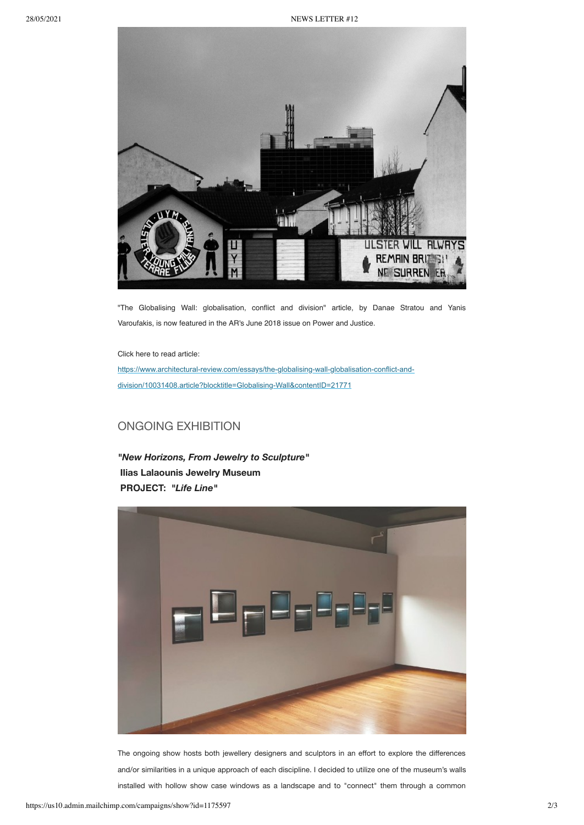

"The Globalising Wall: globalisation, conflict and division" article, by Danae Stratou and Yanis Varoufakis, is now featured in the AR's June 2018 issue on Power and Justice.

Click here to read article:

[https://www.architectural-review.com/essays/the-globalising-wall-globalisation-conflict-and](https://www.architectural-review.com/essays/the-globalising-wall-globalisation-conflict-and-division/10031408.article?blocktitle=Globalising-Wall&contentID=21771)division/10031408.article?blocktitle=Globalising-Wall&contentID=21771

# ONGOING EXHIBITION

*"New Horizons, From Jewelry to Sculpture"* **Ilias Lalaounis Jewelry Museum PROJECT:** *"Life Line"*



The ongoing show hosts both jewellery designers and sculptors in an effort to explore the differences and/or similarities in a unique approach of each discipline. I decided to utilize one of the museum's walls installed with hollow show case windows as a landscape and to "connect" them through a common